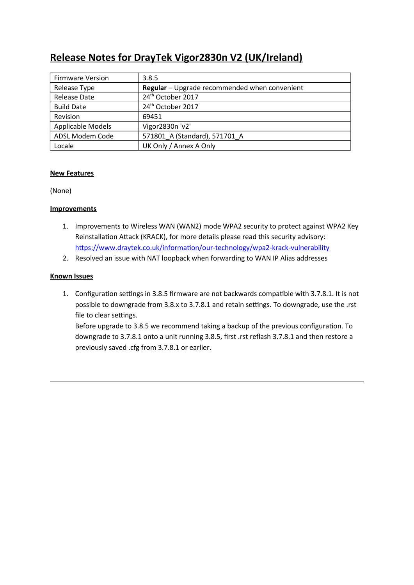# **Release Notes for DrayTek Vigor2830n V2 (UK/Ireland)**

| <b>Firmware Version</b> | 3.8.5                                         |
|-------------------------|-----------------------------------------------|
| Release Type            | Regular - Upgrade recommended when convenient |
| Release Date            | 24 <sup>th</sup> October 2017                 |
| <b>Build Date</b>       | 24 <sup>th</sup> October 2017                 |
| Revision                | 69451                                         |
| Applicable Models       | Vigor2830n 'v2'                               |
| ADSL Modem Code         | 571801 A (Standard), 571701 A                 |
| Locale                  | UK Only / Annex A Only                        |

## **New Features**

(None)

## **Improvements**

- 1. Improvements to Wireless WAN (WAN2) mode WPA2 security to protect against WPA2 Key Reinstallation Attack (KRACK), for more details please read this security advisory: https://www.draytek.co.uk/information/our-technology/wpa2-krack-vulnerability
- 2. Resolved an issue with NAT loopback when forwarding to WAN IP Alias addresses

# **Known Issues**

1. Configuration settings in 3.8.5 firmware are not backwards compatible with 3.7.8.1. It is not possible to downgrade from 3.8.x to 3.7.8.1 and retain settings. To downgrade, use the .rst file to clear settings.

Before upgrade to 3.8.5 we recommend taking a backup of the previous configuraton. To downgrade to 3.7.8.1 onto a unit running 3.8.5, first .rst reflash 3.7.8.1 and then restore a previously saved .cfg from 3.7.8.1 or earlier.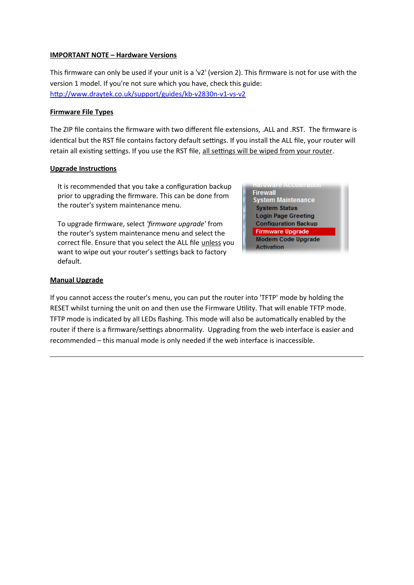#### **IMPORTANT NOTE – Hardware Versions**

This firmware can only be used if your unit is a 'v2' (version 2). This firmware is not for use with the version 1 model. If you're not sure which you have, check this guide: [htp://www.draytek.co.uk/support/guides/kb-v2830n-v1-vs-v2](http://www.draytek.co.uk/support/guides/kb-v2830n-v1-vs-v2)

#### **Firmware File Types**

The ZIP file contains the firmware with two diferent file extensions, .ALL and .RST. The firmware is identical but the RST file contains factory default settings. If you install the ALL file, your router will retain all existing settings. If you use the RST file, all settings will be wiped from your router.

## **Upgrade Instructions**

It is recommended that you take a configuration backup prior to upgrading the firmware. This can be done from the router's system maintenance menu.

To upgrade firmware, select 'firmware upgrade' from the router's system maintenance menu and select the correct file. Ensure that you select the ALL file unless you want to wipe out your router's settings back to factory default.



#### **Manual Upgrade**

If you cannot access the router's menu, you can put the router into 'TFTP' mode by holding the RESET whilst turning the unit on and then use the Firmware Utility. That will enable TFTP mode. TFTP mode is indicated by all LEDs flashing. This mode will also be automatically enabled by the router if there is a firmware/settings abnormality. Upgrading from the web interface is easier and recommended – this manual mode is only needed if the web interface is inaccessible.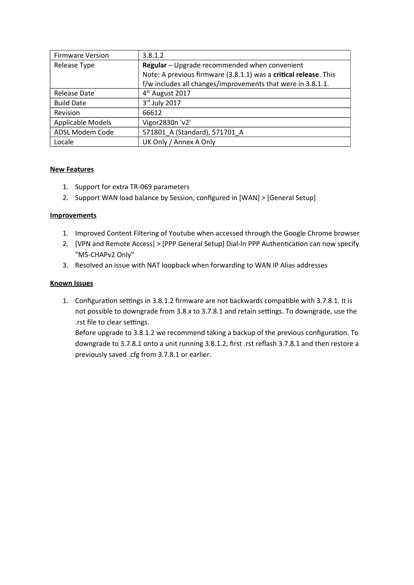| <b>Firmware Version</b> | 3.8.1.2                                                          |
|-------------------------|------------------------------------------------------------------|
| Release Type            | Regular - Upgrade recommended when convenient                    |
|                         | Note: A previous firmware (3.8.1.1) was a critical release. This |
|                         | f/w includes all changes/improvements that were in 3.8.1.1.      |
| Release Date            | 4 <sup>th</sup> August 2017                                      |
| <b>Build Date</b>       | 3rd July 2017                                                    |
| Revision                | 66612                                                            |
| Applicable Models       | Vigor2830n 'v2'                                                  |
| ADSL Modem Code         | 571801 A (Standard), 571701 A                                    |
| Locale                  | UK Only / Annex A Only                                           |

- 1. Support for extra TR-069 parameters
- 2. Support WAN load balance by Session, configured in [WAN] > [General Setup]

# **Improvements**

- 1. Improved Content Filtering of Youtube when accessed through the Google Chrome browser
- 2. [VPN and Remote Access] > [PPP General Setup] Dial-In PPP Authentication can now specify "MS-CHAPv2 Only"
- 3. Resolved an issue with NAT loopback when forwarding to WAN IP Alias addresses

## **Known Issues**

1. Configuration settings in 3.8.1.2 firmware are not backwards compatible with 3.7.8.1. It is not possible to downgrade from 3.8.x to 3.7.8.1 and retain settings. To downgrade, use the .rst file to clear settings.

Before upgrade to 3.8.1.2 we recommend taking a backup of the previous configuration. To downgrade to 3.7.8.1 onto a unit running 3.8.1.2, first .rst reflash 3.7.8.1 and then restore a previously saved .cfg from 3.7.8.1 or earlier.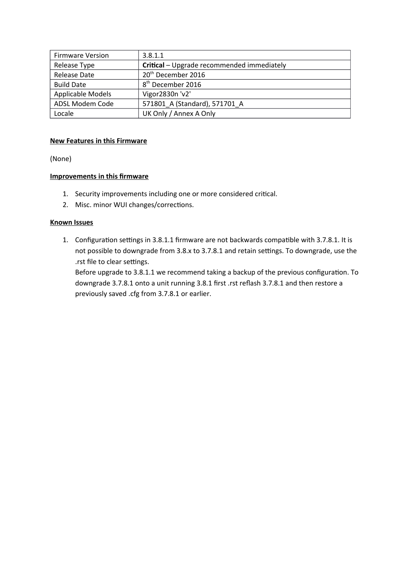| <b>Firmware Version</b> | 3.8.1.1                                    |
|-------------------------|--------------------------------------------|
| Release Type            | Critical - Upgrade recommended immediately |
| <b>Release Date</b>     | 20 <sup>th</sup> December 2016             |
| <b>Build Date</b>       | 8 <sup>th</sup> December 2016              |
| Applicable Models       | Vigor2830n 'v2'                            |
| ADSL Modem Code         | 571801 A (Standard), 571701 A              |
| Locale                  | UK Only / Annex A Only                     |

#### **New Features in this Firmware**

(None)

## **Improvements in this frmware**

- 1. Security improvements including one or more considered critcal.
- 2. Misc. minor WUI changes/corrections.

#### **Known Issues**

1. Configuration settings in 3.8.1.1 firmware are not backwards compatible with 3.7.8.1. It is not possible to downgrade from 3.8.x to 3.7.8.1 and retain settings. To downgrade, use the .rst file to clear settings.

Before upgrade to 3.8.1.1 we recommend taking a backup of the previous configuration. To downgrade 3.7.8.1 onto a unit running 3.8.1 first .rst reflash 3.7.8.1 and then restore a previously saved .cfg from 3.7.8.1 or earlier.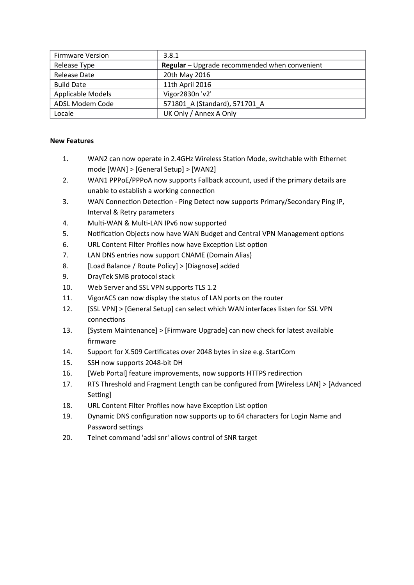| <b>Firmware Version</b> | 3.8.1                                         |
|-------------------------|-----------------------------------------------|
| Release Type            | Regular - Upgrade recommended when convenient |
| Release Date            | 20th May 2016                                 |
| <b>Build Date</b>       | 11th April 2016                               |
| Applicable Models       | Vigor2830n 'v2'                               |
| ADSL Modem Code         | 571801 A (Standard), 571701 A                 |
| Locale                  | UK Only / Annex A Only                        |

- 1. WAN2 can now operate in 2.4GHz Wireless Staton Mode, switchable with thernet mode [WAN] > [General Setup] > [WAN2]
- 2. WAN1 PPPoE/PPPoA now supports Fallback account, used if the primary details are unable to establish a working connection
- 3. WAN Connection Detection Ping Detect now supports Primary/Secondary Ping IP, Interval & Retry parameters
- 4. Multi-WAN & Multi-LAN IPv6 now supported
- 5. Notification Objects now have WAN Budget and Central VPN Management options
- 6. URL Content Filter Profiles now have Exception List option
- 7. LAN DNS entries now support CNAME (Domain Alias)
- 8. [Load Balance / Route Policy] > [Diagnose] added
- 9. DrayTek SMB protocol stack
- 10. Web Server and SSL VPN supports TLS 1.2
- 11. VigorACS can now display the status of LAN ports on the router
- 12. [SSL VPN] > [General Setup] can select which WAN interfaces listen for SSL VPN connections
- 13. [System Maintenance] > [Firmware Upgrade] can now check for latest available firmware
- 14. Support for X.509 Certficates over 2048 bytes in size e.g. StartCom
- 15. SSH now supports 2048-bit DH
- 16. [Web Portal] feature improvements, now supports HTTPS redirection
- 17. RTS Threshold and Fragment Length can be configured from [Wireless LAN] > [Advanced] Setting]
- 18. URL Content Filter Profiles now have Exception List option
- 19. Dynamic DNS configuration now supports up to 64 characters for Login Name and Password settings
- 20. Telnet command 'adsl snr' allows control of SNR target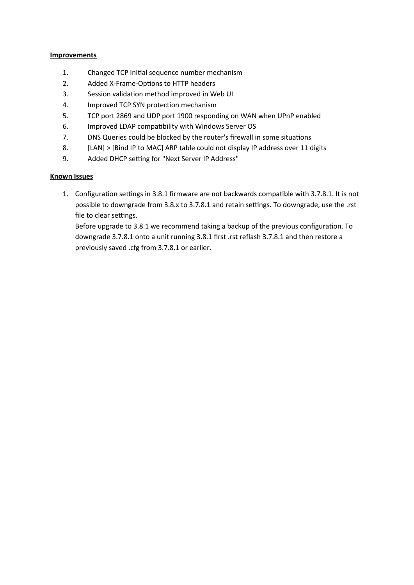#### **Improvements**

- 1. Changed TCP Initial sequence number mechanism
- 2. Added X-Frame-Options to HTTP headers
- 3. Session validation method improved in Web UI
- 4. Improved TCP SYN protection mechanism
- 5. TCP port 2869 and UDP port 1900 responding on WAN when UPnP enabled
- 6. Improved LDAP compatbility with Windows Server OS
- 7. DNS Queries could be blocked by the router's firewall in some situations
- 8. [LAN] > [Bind IP to MAC] ARP table could not display IP address over 11 digits
- 9. Added DHCP setting for "Next Server IP Address"

# **Known Issues**

1. Configuration settings in 3.8.1 firmware are not backwards compatible with 3.7.8.1. It is not possible to downgrade from 3.8.x to 3.7.8.1 and retain settings. To downgrade, use the .rst file to clear settings.

Before upgrade to 3.8.1 we recommend taking a backup of the previous configuration. To downgrade 3.7.8.1 onto a unit running 3.8.1 first .rst reflash 3.7.8.1 and then restore a previously saved .cfg from 3.7.8.1 or earlier.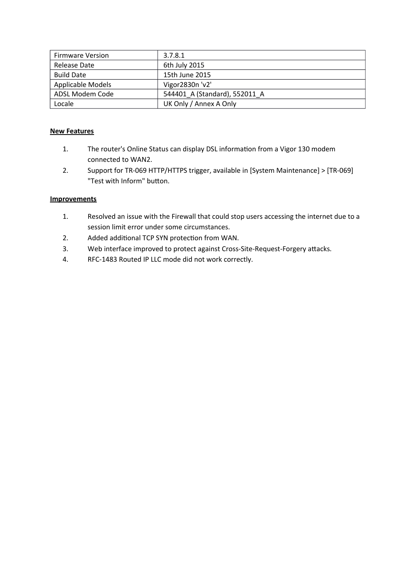| <b>Firmware Version</b>  | 3.7.8.1                       |
|--------------------------|-------------------------------|
| Release Date             | 6th July 2015                 |
| <b>Build Date</b>        | 15th June 2015                |
| <b>Applicable Models</b> | Vigor2830n 'v2'               |
| ADSL Modem Code          | 544401 A (Standard), 552011 A |
| Locale                   | UK Only / Annex A Only        |

- 1. The router's Online Status can display DSL information from a Vigor 130 modem connected to WAN2.
- 2. Support for TR-069 HTTP/HTTPS trigger, available in [System Maintenance] > [TR-069] "Test with Inform" button.

- 1. Resolved an issue with the Firewall that could stop users accessing the internet due to a session limit error under some circumstances.
- 2. Added additional TCP SYN protection from WAN.
- 3. Web interface improved to protect against Cross-Site-Request-Forgery attacks.
- 4. RFC-1483 Routed IP LLC mode did not work correctly.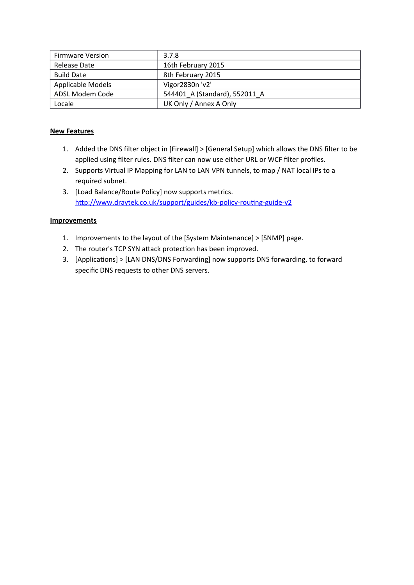| <b>Firmware Version</b>  | 3.7.8                         |
|--------------------------|-------------------------------|
| Release Date             | 16th February 2015            |
| <b>Build Date</b>        | 8th February 2015             |
| <b>Applicable Models</b> | Vigor2830n 'v2'               |
| ADSL Modem Code          | 544401 A (Standard), 552011 A |
| Locale                   | UK Only / Annex A Only        |

- 1. Added the DNS filter object in [Firewall] > [General Setup] which allows the DNS filter to be applied using filter rules. DNS filter can now use either URL or WCF filter profiles.
- 2. Supports Virtual IP Mapping for LAN to LAN VPN tunnels, to map / NAT local IPs to a required subnet.
- 3. Load Balance/Route Policy] now supports metrics. http://www.draytek.co.uk/support/guides/kb-policy-routing-guide-v2

- 1. Improvements to the layout of the [System Maintenance] > [SNMP] page.
- 2. The router's TCP SYN attack protection has been improved.
- 3. [Applications] > [LAN DNS/DNS Forwarding] now supports DNS forwarding, to forward specific DNS requests to other DNS servers.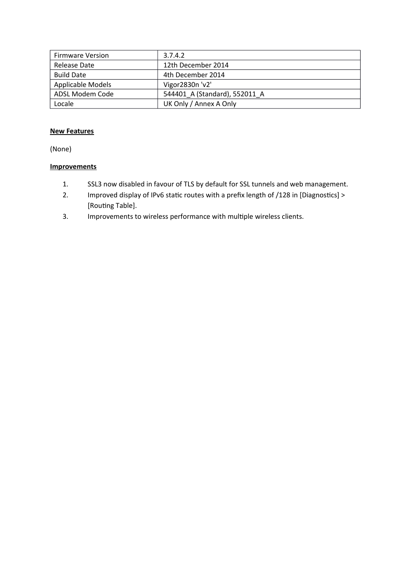| <b>Firmware Version</b> | 3.7.4.2                       |
|-------------------------|-------------------------------|
| Release Date            | 12th December 2014            |
| <b>Build Date</b>       | 4th December 2014             |
| Applicable Models       | Vigor2830n 'v2'               |
| ADSL Modem Code         | 544401_A (Standard), 552011 A |
| Locale                  | UK Only / Annex A Only        |

(None)

- 1. SSL3 now disabled in favour of TLS by default for SSL tunnels and web management.
- 2. Improved display of IPv6 static routes with a prefix length of /128 in [Diagnostics] > [Routing Table].
- 3. Improvements to wireless performance with multple wireless clients.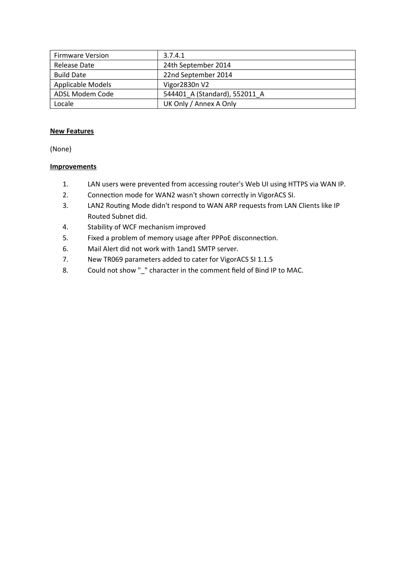| <b>Firmware Version</b> | 3.7.4.1                       |
|-------------------------|-------------------------------|
| Release Date            | 24th September 2014           |
| <b>Build Date</b>       | 22nd September 2014           |
| Applicable Models       | Vigor2830n V2                 |
| ADSL Modem Code         | 544401_A (Standard), 552011_A |
| Locale                  | UK Only / Annex A Only        |

(None)

- 1. LAN users were prevented from accessing router's Web UI using HTTPS via WAN IP.
- 2. Connection mode for WAN2 wasn't shown correctly in VigorACS SI.
- 3. LAN2 Routing Mode didn't respond to WAN ARP requests from LAN Clients like IP Routed Subnet did.
- 4. Stability of WCF mechanism improved
- 5. Fixed a problem of memory usage after PPPoE disconnection.
- 6. Mail Alert did not work with 1and1 SMTP server.
- 7. New TR069 parameters added to cater for VigorACS SI 1.1.5
- 8. Could not show "\_" character in the comment field of Bind IP to MAC.